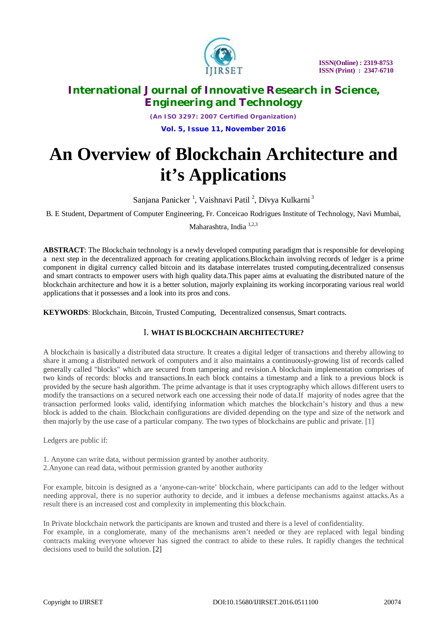

*(An ISO 3297: 2007 Certified Organization)* **Vol. 5, Issue 11, November 2016**

# **An Overview of Blockchain Architecture and it's Applications**

Sanjana Panicker<sup>1</sup>, Vaishnavi Patil<sup>2</sup>, Divya Kulkarni<sup>3</sup>

B. E Student, Department of Computer Engineering, Fr. Conceicao Rodrigues Institute of Technology, Navi Mumbai,

Maharashtra, India 1,2,3

**ABSTRACT**: The Blockchain technology is a newly developed computing paradigm that is responsible for developing a next step in the decentralized approach for creating applications.Blockchain involving records of ledger is a prime component in digital currency called bitcoin and its database interrelates trusted computing,decentralized consensus and smart contracts to empower users with high quality data.This paper aims at evaluating the distributed nature of the blockchain architecture and how it is a better solution, majorly explaining its working incorporating various real world applications that it possesses and a look into its pros and cons.

**KEYWORDS**: Blockchain, Bitcoin, Trusted Computing, Decentralized consensus, Smart contracts.

### I. **WHAT ISBLOCKCHAIN ARCHITECTURE?**

A blockchain is basically a distributed data structure. It creates a digital ledger of transactions and thereby allowing to share it among a distributed network of computers and it also maintains a continuously-growing list of records called generally called "blocks" which are secured from tampering and revision.A blockchain implementation comprises of two kinds of records: blocks and transactions.In each block contains a timestamp and a link to a previous block is provided by the secure hash algorithm. The prime advantage is that it uses cryptography which allows different users to modify the transactions on a secured network each one accessing their node of data.If majority of nodes agree that the transaction performed looks valid, identifying information which matches the blockchain's history and thus a new block is added to the chain. Blockchain configurations are divided depending on the type and size of the network and then majorly by the use case of a particular company. The two types of blockchains are public and private. [1]

Ledgers are public if:

1. Anyone can write data, without permission granted by another authority.

2.Anyone can read data, without permission granted by another authority

For example, bitcoin is designed as a 'anyone-can-write' blockchain, where participants can add to the ledger without needing approval, there is no superior authority to decide, and it imbues a defense mechanisms against attacks.As a result there is an increased cost and complexity in implementing this blockchain.

In Private blockchain network the participants are known and trusted and there is a level of confidentiality. For example, in a conglomerate, many of the mechanisms aren't needed or they are replaced with legal binding contracts making everyone whoever has signed the contract to abide to these rules. It rapidly changes the technical decisions used to build the solution. [2]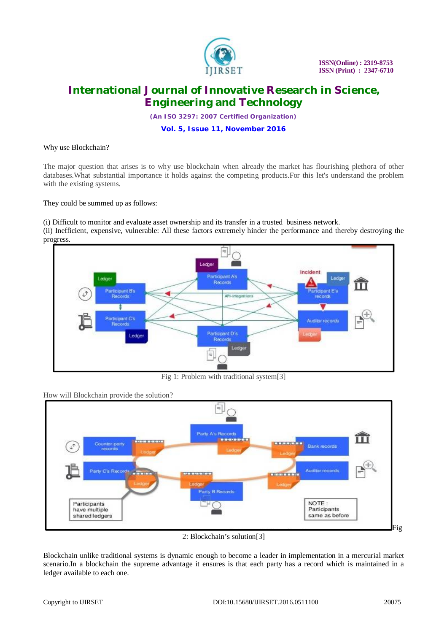

*(An ISO 3297: 2007 Certified Organization)*

**Vol. 5, Issue 11, November 2016**

Why use Blockchain?

The major question that arises is to why use blockchain when already the market has flourishing plethora of other databases.What substantial importance it holds against the competing products.For this let's understand the problem with the existing systems.

They could be summed up as follows:

(i) Difficult to monitor and evaluate asset ownership and its transfer in a trusted business network. (ii) Inefficient, expensive, vulnerable: All these factors extremely hinder the performance and thereby destroying the progress.



Fig 1: Problem with traditional system[3]

How will Blockchain provide the solution?



2: Blockchain's solution[3]

Blockchain unlike traditional systems is dynamic enough to become a leader in implementation in a mercurial market scenario.In a blockchain the supreme advantage it ensures is that each party has a record which is maintained in a ledger available to each one.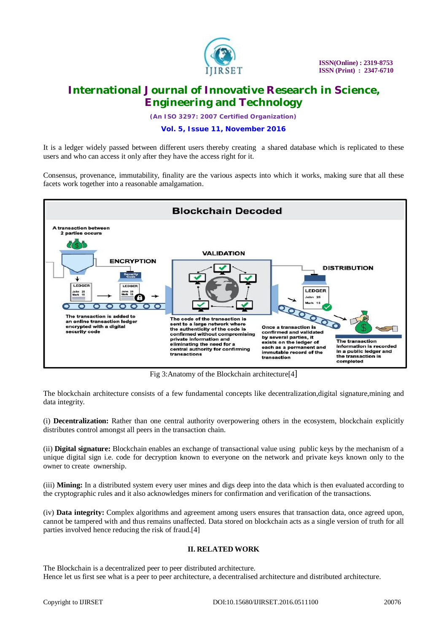

*(An ISO 3297: 2007 Certified Organization)*

#### **Vol. 5, Issue 11, November 2016**

It is a ledger widely passed between different users thereby creating a shared database which is replicated to these users and who can access it only after they have the access right for it.

Consensus, provenance, immutability, finality are the various aspects into which it works, making sure that all these facets work together into a reasonable amalgamation.



Fig 3:Anatomy of the Blockchain architecture[4]

The blockchain architecture consists of a few fundamental concepts like decentralization,digital signature,mining and data integrity.

(i) **Decentralization:** Rather than one central authority overpowering others in the ecosystem, blockchain explicitly distributes control amongst all peers in the transaction chain.

(ii) **Digital signature:** Blockchain enables an exchange of transactional value using public keys by the mechanism of a unique digital sign i.e. code for decryption known to everyone on the network and private keys known only to the owner to create ownership.

(iii) **Mining:** In a distributed system every user mines and digs deep into the data which is then evaluated according to the cryptographic rules and it also acknowledges miners for confirmation and verification of the transactions.

(iv) **Data integrity:** Complex algorithms and agreement among users ensures that transaction data, once agreed upon, cannot be tampered with and thus remains unaffected. Data stored on blockchain acts as a single version of truth for all parties involved hence reducing the risk of fraud.[4]

#### **II. RELATED WORK**

The Blockchain is a decentralized peer to peer distributed architecture. Hence let us first see what is a peer to peer architecture, a decentralised architecture and distributed architecture.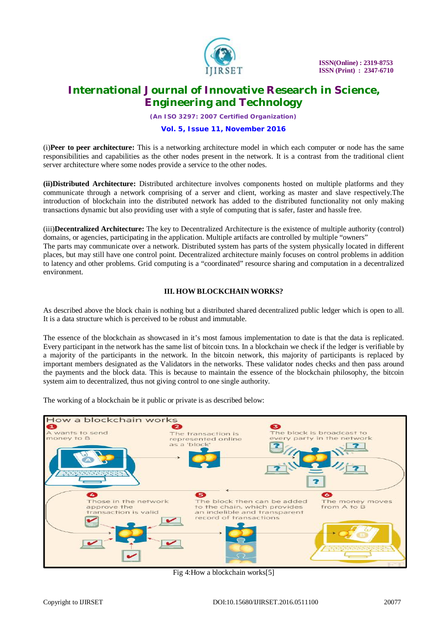

*(An ISO 3297: 2007 Certified Organization)*

#### **Vol. 5, Issue 11, November 2016**

(i)**Peer to peer architecture:** This is a networking architecture model in which each computer or node has the same responsibilities and capabilities as the other nodes present in the network. It is a contrast from the traditional client server architecture where some nodes provide a service to the other nodes.

**(ii)Distributed Architecture:** Distributed architecture involves components hosted on multiple platforms and they communicate through a network comprising of a server and client, working as master and slave respectively.The introduction of blockchain into the distributed network has added to the distributed functionality not only making transactions dynamic but also providing user with a style of computing that is safer, faster and hassle free.

(iii)**Decentralized Architecture:** The key to Decentralized Architecture is the existence of multiple authority (control) domains, or agencies, participating in the application. Multiple artifacts are controlled by multiple "owners" The parts may communicate over a network. Distributed system has parts of the system physically located in different places, but may still have one control point. Decentralized architecture mainly focuses on control problems in addition to latency and other problems. Grid computing is a "coordinated" resource sharing and computation in a decentralized environment.

### **III. HOW BLOCKCHAIN WORKS?**

As described above the block chain is nothing but a distributed shared decentralized public ledger which is open to all. It is a data structure which is perceived to be robust and immutable.

The essence of the blockchain as showcased in it's most famous implementation to date is that the data is replicated. Every participant in the network has the same list of bitcoin txns. In a blockchain we check if the ledger is verifiable by a majority of the participants in the network. In the bitcoin network, this majority of participants is replaced by important members designated as the Validators in the networks. These validator nodes checks and then pass around the payments and the block data. This is because to maintain the essence of the blockchain philosophy, the bitcoin system aim to decentralized, thus not giving control to one single authority.

The working of a blockchain be it public or private is as described below:



Fig 4:How a blockchain works[5]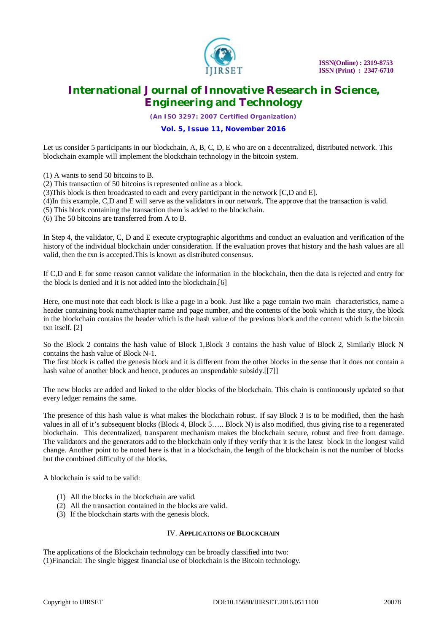

*(An ISO 3297: 2007 Certified Organization)*

#### **Vol. 5, Issue 11, November 2016**

Let us consider 5 participants in our blockchain, A, B, C, D, E who are on a decentralized, distributed network. This blockchain example will implement the blockchain technology in the bitcoin system.

(1) A wants to send 50 bitcoins to B.

(2) This transaction of 50 bitcoins is represented online as a block.

(3)This block is then broadcasted to each and every participant in the network [C,D and E].

(4)In this example, C,D and E will serve as the validators in our network. The approve that the transaction is valid.

(5) This block containing the transaction them is added to the blockchain.

(6) The 50 bitcoins are transferred from A to B.

In Step 4, the validator, C, D and E execute cryptographic algorithms and conduct an evaluation and verification of the history of the individual blockchain under consideration. If the evaluation proves that history and the hash values are all valid, then the txn is accepted.This is known as distributed consensus.

If C,D and E for some reason cannot validate the information in the blockchain, then the data is rejected and entry for the block is denied and it is not added into the blockchain.[6]

Here, one must note that each block is like a page in a book. Just like a page contain two main characteristics, name a header containing book name/chapter name and page number, and the contents of the book which is the story, the block in the blockchain contains the header which is the hash value of the previous block and the content which is the bitcoin txn itself. [2]

So the Block 2 contains the hash value of Block 1,Block 3 contains the hash value of Block 2, Similarly Block N contains the hash value of Block N-1.

The first block is called the genesis block and it is different from the other blocks in the sense that it does not contain a hash value of another block and hence, produces an unspendable subsidy.[[7]]

The new blocks are added and linked to the older blocks of the blockchain. This chain is continuously updated so that every ledger remains the same.

The presence of this hash value is what makes the blockchain robust. If say Block 3 is to be modified, then the hash values in all of it's subsequent blocks (Block 4, Block 5….. Block N) is also modified, thus giving rise to a regenerated blockchain. This decentralized, transparent mechanism makes the blockchain secure, robust and free from damage. The validators and the generators add to the blockchain only if they verify that it is the latest block in the longest valid change. Another point to be noted here is that in a blockchain, the length of the blockchain is not the number of blocks but the combined difficulty of the blocks.

A blockchain is said to be valid:

- (1) All the blocks in the blockchain are valid.
- (2) All the transaction contained in the blocks are valid.
- (3) If the blockchain starts with the genesis block.

#### IV. **APPLICATIONS OF BLOCKCHAIN**

The applications of the Blockchain technology can be broadly classified into two: (1)Financial: The single biggest financial use of blockchain is the Bitcoin technology.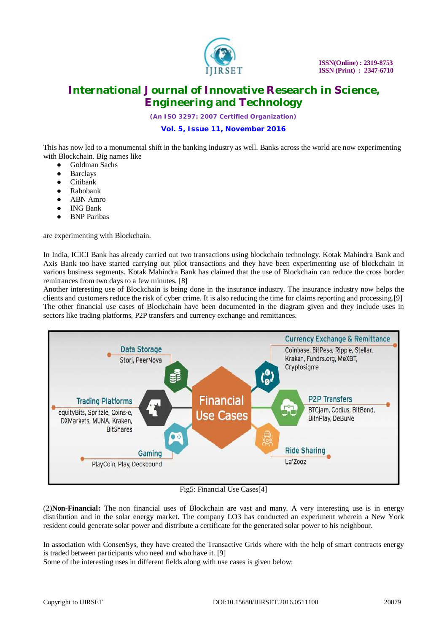

*(An ISO 3297: 2007 Certified Organization)*

**Vol. 5, Issue 11, November 2016**

This has now led to a monumental shift in the banking industry as well. Banks across the world are now experimenting with Blockchain. Big names like

- Goldman Sachs
- **Barclays**
- **Citibank**
- Rabobank
- ABN Amro
- **ING Bank**
- **BNP** Paribas

are experimenting with Blockchain.

In India, ICICI Bank has already carried out two transactions using blockchain technology. Kotak Mahindra Bank and Axis Bank too have started carrying out pilot transactions and they have been experimenting use of blockchain in various business segments. Kotak Mahindra Bank has claimed that the use of Blockchain can reduce the cross border remittances from two days to a few minutes. [8]

Another interesting use of Blockchain is being done in the insurance industry. The insurance industry now helps the clients and customers reduce the risk of cyber crime. It is also reducing the time for claims reporting and processing.[9] The other financial use cases of Blockchain have been documented in the diagram given and they include uses in sectors like trading platforms, P2P transfers and currency exchange and remittances.



Fig5: Financial Use Cases[4]

(2)**Non-Financial:** The non financial uses of Blockchain are vast and many. A very interesting use is in energy distribution and in the solar energy market. The company LO3 has conducted an experiment wherein a New York resident could generate solar power and distribute a certificate for the generated solar power to his neighbour.

In association with ConsenSys, they have created the Transactive Grids where with the help of smart contracts energy is traded between participants who need and who have it. [9]

Some of the interesting uses in different fields along with use cases is given below: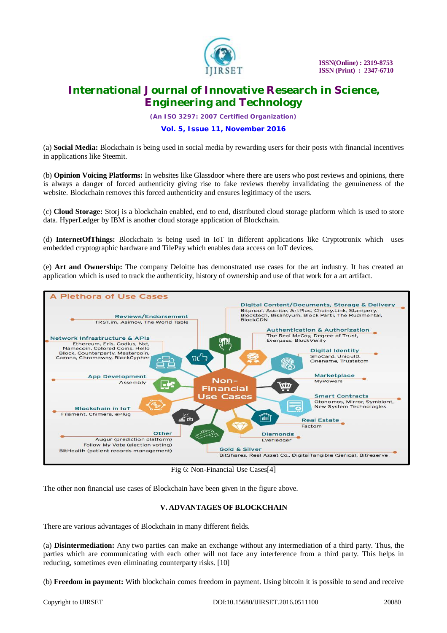

*(An ISO 3297: 2007 Certified Organization)*

**Vol. 5, Issue 11, November 2016**

(a) **Social Media:** Blockchain is being used in social media by rewarding users for their posts with financial incentives in applications like Steemit.

(b) **Opinion Voicing Platforms:** In websites like Glassdoor where there are users who post reviews and opinions, there is always a danger of forced authenticity giving rise to fake reviews thereby invalidating the genuineness of the website. Blockchain removes this forced authenticity and ensures legitimacy of the users.

(c) **Cloud Storage:** Storj is a blockchain enabled, end to end, distributed cloud storage platform which is used to store data. HyperLedger by IBM is another cloud storage application of Blockchain.

(d) **InternetOfThings:** Blockchain is being used in IoT in different applications like Cryptotronix which uses embedded cryptographic hardware and TilePay which enables data access on IoT devices.

(e) **Art and Ownership:** The company Deloitte has demonstrated use cases for the art industry. It has created an application which is used to track the authenticity, history of ownership and use of that work for a art artifact.



Fig 6: Non-Financial Use Cases[4]

The other non financial use cases of Blockchain have been given in the figure above.

### **V. ADVANTAGES OF BLOCKCHAIN**

There are various advantages of Blockchain in many different fields.

(a) **Disintermediation:** Any two parties can make an exchange without any intermediation of a third party. Thus, the parties which are communicating with each other will not face any interference from a third party. This helps in reducing, sometimes even eliminating counterparty risks. [10]

(b) **Freedom in payment:** With blockchain comes freedom in payment. Using bitcoin it is possible to send and receive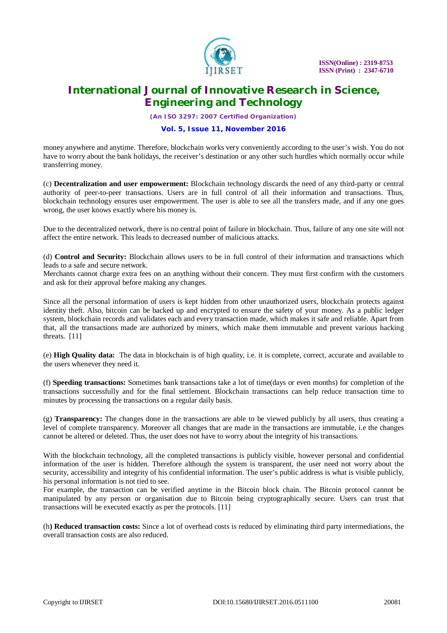

*(An ISO 3297: 2007 Certified Organization)*

#### **Vol. 5, Issue 11, November 2016**

money anywhere and anytime. Therefore, blockchain works very conveniently according to the user's wish. You do not have to worry about the bank holidays, the receiver's destination or any other such hurdles which normally occur while transferring money.

(c) **Decentralization and user empowerment:** Blockchain technology discards the need of any third-party or central authority of peer-to-peer transactions. Users are in full control of all their information and transactions. Thus, blockchain technology ensures user empowerment. The user is able to see all the transfers made, and if any one goes wrong, the user knows exactly where his money is.

Due to the decentralized network, there is no central point of failure in blockchain. Thus, failure of any one site will not affect the entire network. This leads to decreased number of malicious attacks.

(d) **Control and Security:** Blockchain allows users to be in full control of their information and transactions which leads to a safe and secure network.

Merchants cannot charge extra fees on an anything without their concern. They must first confirm with the customers and ask for their approval before making any changes.

Since all the personal information of users is kept hidden from other unauthorized users, blockchain protects against identity theft. Also, bitcoin can be backed up and encrypted to ensure the safety of your money. As a public ledger system, blockchain records and validates each and every transaction made, which makes it safe and reliable. Apart from that, all the transactions made are authorized by miners, which make them immutable and prevent various hacking threats. [11]

(e) **High Quality data:** The data in blockchain is of high quality, i.e. it is complete, correct, accurate and available to the users whenever they need it.

(f) **Speeding transactions:** Sometimes bank transactions take a lot of time(days or even months) for completion of the transactions successfully and for the final settlement. Blockchain transactions can help reduce transaction time to minutes by processing the transactions on a regular daily basis.

(g) **Transparency:** The changes done in the transactions are able to be viewed publicly by all users, thus creating a level of complete transparency. Moreover all changes that are made in the transactions are immutable, i.e the changes cannot be altered or deleted. Thus, the user does not have to worry about the integrity of his transactions.

With the blockchain technology, all the completed transactions is publicly visible, however personal and confidential information of the user is hidden. Therefore although the system is transparent, the user need not worry about the security, accessibility and integrity of his confidential information. The user's public address is what is visible publicly, his personal information is not tied to see.

For example, the transaction can be verified anytime in the Bitcoin block chain. The Bitcoin protocol cannot be manipulated by any person or organisation due to Bitcoin being cryptographically secure. Users can trust that transactions will be executed exactly as per the protocols. [11]

(h**) Reduced transaction costs:** Since a lot of overhead costs is reduced by eliminating third party intermediations, the overall transaction costs are also reduced.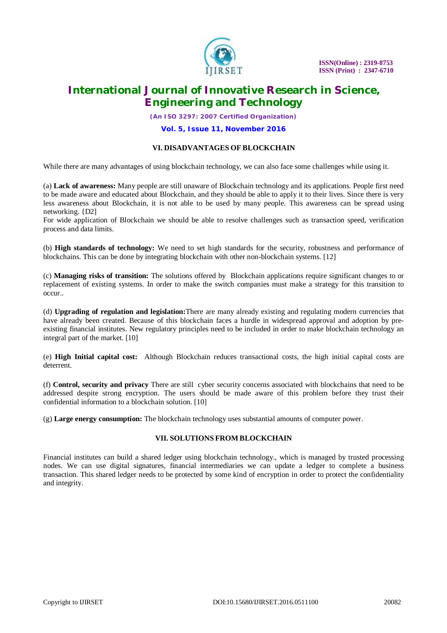

*(An ISO 3297: 2007 Certified Organization)*

**Vol. 5, Issue 11, November 2016**

### **VI. DISADVANTAGES OF BLOCKCHAIN**

While there are many advantages of using blockchain technology, we can also face some challenges while using it.

(a) **Lack of awareness:** Many people are still unaware of Blockchain technology and its applications. People first need to be made aware and educated about Blockchain, and they should be able to apply it to their lives. Since there is very less awareness about Blockchain, it is not able to be used by many people. This awareness can be spread using networking. {D2]

For wide application of Blockchain we should be able to resolve challenges such as transaction speed, verification process and data limits.

(b) **High standards of technology:** We need to set high standards for the security, robustness and performance of blockchains. This can be done by integrating blockchain with other non-blockchain systems. [12]

(c) **Managing risks of transition:** The solutions offered by Blockchain applications require significant changes to or replacement of existing systems. In order to make the switch companies must make a strategy for this transition to occur..

(d) **Upgrading of regulation and legislation:**There are many already existing and regulating modern currencies that have already been created. Because of this blockchain faces a hurdle in widespread approval and adoption by preexisting financial institutes. New regulatory principles need to be included in order to make blockchain technology an integral part of the market. [10]

(e) **High Initial capital cost:** Although Blockchain reduces transactional costs, the high initial capital costs are deterrent.

(f) **Control, security and privacy** There are still cyber security concerns associated with blockchains that need to be addressed despite strong encryption. The users should be made aware of this problem before they trust their confidential information to a blockchain solution. [10]

(g) **Large energy consumption:** The blockchain technology uses substantial amounts of computer power.

#### **VII. SOLUTIONS FROM BLOCKCHAIN**

Financial institutes can build a shared ledger using blockchain technology., which is managed by trusted processing nodes. We can use digital signatures, financial intermediaries we can update a ledger to complete a business transaction. This shared ledger needs to be protected by some kind of encryption in order to protect the confidentiality and integrity.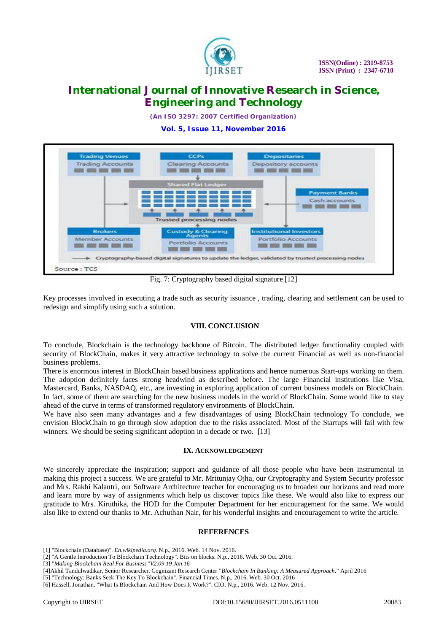

*(An ISO 3297: 2007 Certified Organization)*

**Vol. 5, Issue 11, November 2016**



Fig. 7: Cryptography based digital signature [12]

Key processes involved in executing a trade such as security issuance , trading, clearing and settlement can be used to redesign and simplify using such a solution.

#### **VIII. CONCLUSION**

To conclude, Blockchain is the technology backbone of Bitcoin. The distributed ledger functionality coupled with security of BlockChain, makes it very attractive technology to solve the current Financial as well as non-financial business problems.

There is enormous interest in BlockChain based business applications and hence numerous Start-ups working on them. The adoption definitely faces strong headwind as described before. The large Financial institutions like Visa, Mastercard, Banks, NASDAQ, etc., are investing in exploring application of current business models on BlockChain. In fact, some of them are searching for the new business models in the world of BlockChain. Some would like to stay ahead of the curve in terms of transformed regulatory environments of BlockChain.

We have also seen many advantages and a few disadvantages of using BlockChain technology To conclude, we envision BlockChain to go through slow adoption due to the risks associated. Most of the Startups will fail with few winners. We should be seeing significant adoption in a decade or two. [13]

#### **IX. ACKNOWLEDGEMENT**

We sincerely appreciate the inspiration; support and guidance of all those people who have been instrumental in making this project a success. We are grateful to Mr. Mritunjay Ojha, our Cryptography and System Security professor and Mrs. Rakhi Kalantri, our Software Architecture teacher for encouraging us to broaden our horizons and read more and learn more by way of assignments which help us discover topics like these. We would also like to express our gratitude to Mrs. Kiruthika, the HOD for the Computer Department for her encouragement for the same. We would also like to extend our thanks to Mr. Achuthan Nair, for his wonderful insights and encouragement to write the article.

#### **REFERENCES**

- [1] "Blockchain (Database)". *En.wikipedia.org*. N.p., 2016. Web. 14 Nov. 2016.
- [2] "A Gentle Introduction To Blockchain Technology". Bits on blocks. N.p., 2016. Web. 30 Oct. 2016.
- [3] "*Making Blockchain Real For Business"V2.09 19 Jan 16*
- [4]Akhil Tandulwadikar, Senior Researcher, Cognizant Research Center "*Blockchain In Banking: A Measured Approach*." April 2016

[6] Hassell, Jonathan. "What Is Blockchain And How Does It Work?". CIO. N.p., 2016. Web. 12 Nov. 2016.

<sup>[5] &</sup>quot;Technology: Banks Seek The Key To Blockchain". Financial Times. N.p., 2016. Web. 30 Oct. 2016